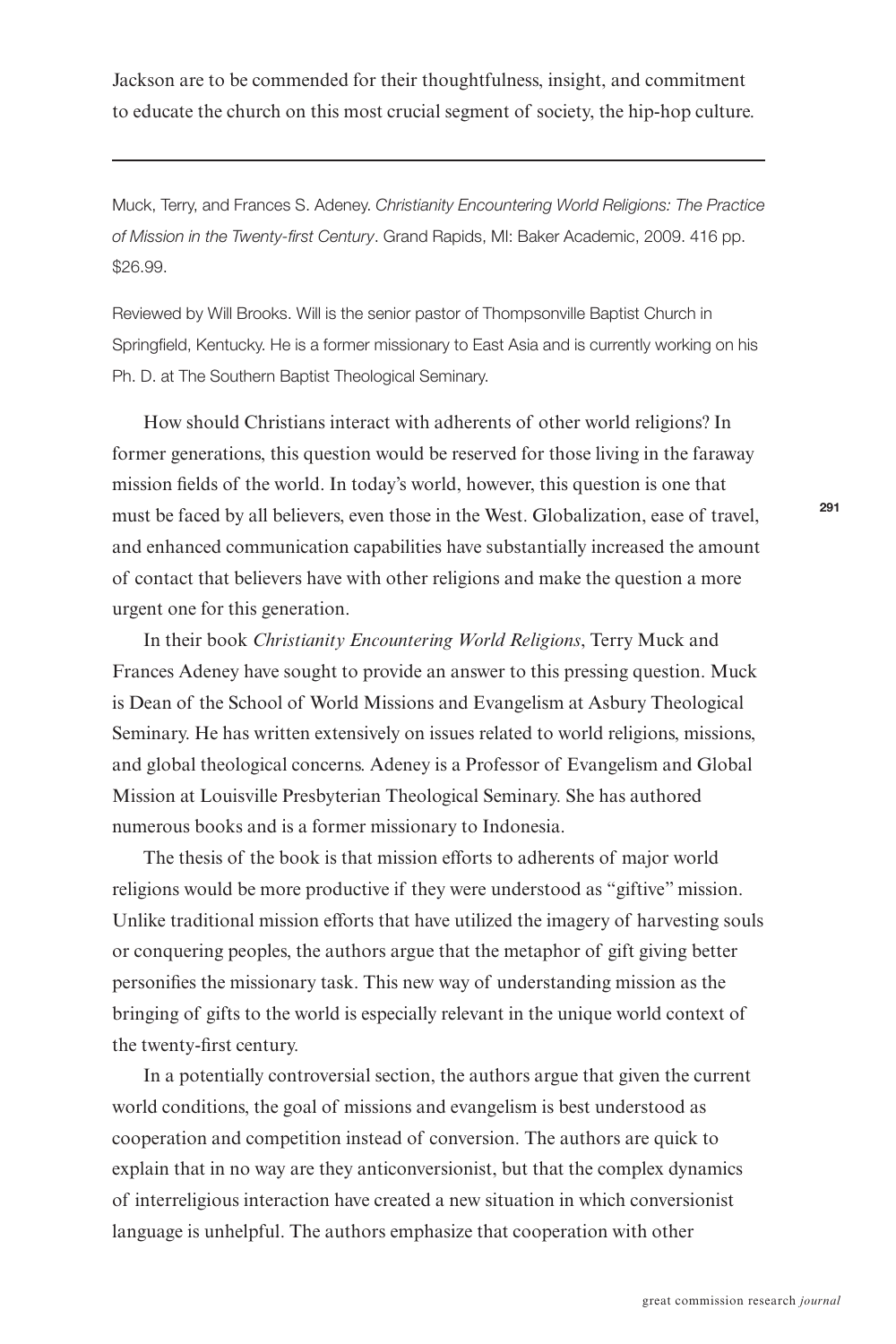Jackson are to be commended for their thoughtfulness, insight, and commitment to educate the church on this most crucial segment of society, the hip-hop culture.

Muck, Terry, and Frances S. Adeney. Christianity Encountering World Religions: The Practice of Mission in the Twenty-Erst Century. Grand Rapids, MI: Baker Academic, 2009. 416 pp. \$26.99.

Reviewed by Will Brooks. Will is the senior pastor of Thompsonville Baptist Church in Springfield, Kentucky. He is a former missionary to East Asia and is currently working on his Ph. D. at The Southern Baptist Theological Seminary.

How should Christians interact with adherents of other world religions? In former generations, this question would be reserved for those living in the faraway mission fields of the world. In today's world, however, this question is one that must be faced by all believers, even those in the West. Globalization, ease of travel, and enhanced communication capabilities have substantially increased the amount of contact that believers have with other religions and make the question a more urgent one for this generation.

In their book *Christianity Encountering World Religions*, Terry Muck and Frances Adeney have sought to provide an answer to this pressing question. Muck is Dean of the School of World Missions and Evangelism at Asbury Theological Seminary. He has written extensively on issues related to world religions, missions, and global theological concerns. Adeney is a Professor of Evangelism and Global Mission at Louisville Presbyterian Theological Seminary. She has authored numerous books and is a former missionary to Indonesia.

The thesis of the book is that mission efforts to adherents of major world religions would be more productive if they were understood as "giftive" mission. Unlike traditional mission efforts that have utilized the imagery of harvesting souls or conquering peoples, the authors argue that the metaphor of gift giving better personifies the missionary task. This new way of understanding mission as the bringing of gifts to the world is especially relevant in the unique world context of the twenty-first century.

In a potentially controversial section, the authors argue that given the current world conditions, the goal of missions and evangelism is best understood as cooperation and competition instead of conversion. The authors are quick to explain that in no way are they anticonversionist, but that the complex dynamics of interreligious interaction have created a new situation in which conversionist language is unhelpful. The authors emphasize that cooperation with other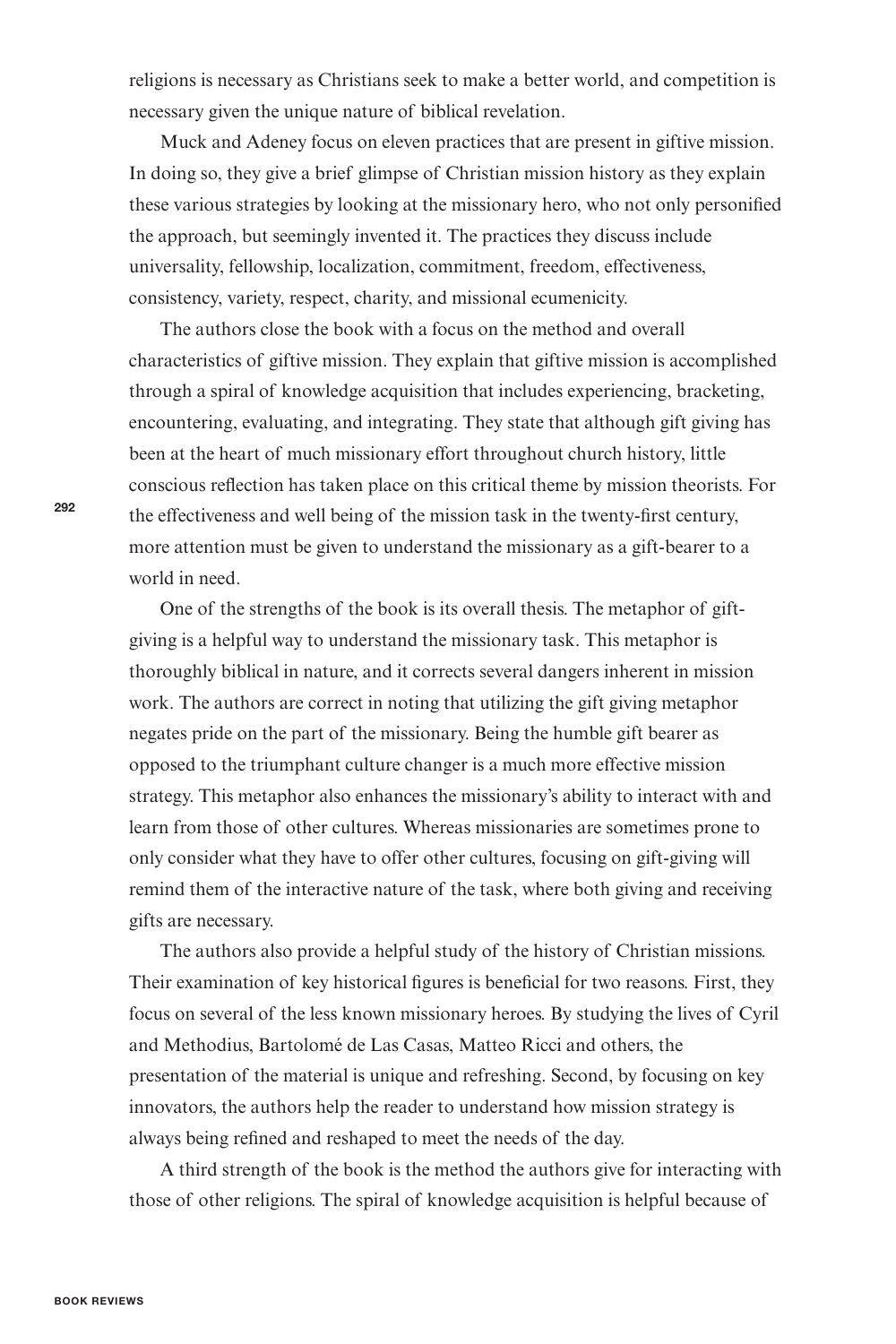religions is necessary as Christians seek to make a better world, and competition is necessary given the unique nature of biblical revelation.

Muck and Adeney focus on eleven practices that are present in giftive mission. In doing so, they give a brief glimpse of Christian mission history as they explain these various strategies by looking at the missionary hero, who not only personified the approach, but seemingly invented it. The practices they discuss include universality, fellowship, localization, commitment, freedom, effectiveness, consistency, variety, respect, charity, and missional ecumenicity.

The authors close the book with a focus on the method and overall characteristics of giftive mission. They explain that giftive mission is accomplished through a spiral of knowledge acquisition that includes experiencing, bracketing, encountering, evaluating, and integrating. They state that although gift giving has been at the heart of much missionary effort throughout church history, little conscious reflection has taken place on this critical theme by mission theorists. For the effectiveness and well being of the mission task in the twenty-first century, more attention must be given to understand the missionary as a gift-bearer to a world in need.

One of the strengths of the book is its overall thesis. The metaphor of giftgiving is a helpful way to understand the missionary task. This metaphor is thoroughly biblical in nature, and it corrects several dangers inherent in mission work. The authors are correct in noting that utilizing the gift giving metaphor negates pride on the part of the missionary. Being the humble gift bearer as opposed to the triumphant culture changer is a much more effective mission strategy. This metaphor also enhances the missionary's ability to interact with and learn from those of other cultures. Whereas missionaries are sometimes prone to only consider what they have to offer other cultures, focusing on gift-giving will remind them of the interactive nature of the task, where both giving and receiving gifts are necessary.

The authors also provide a helpful study of the history of Christian missions. Their examination of key historical figures is beneficial for two reasons. First, they focus on several of the less known missionary heroes. By studying the lives of Cyril and Methodius, Bartolomé de Las Casas, Matteo Ricci and others, the presentation of the material is unique and refreshing. Second, by focusing on key innovators, the authors help the reader to understand how mission strategy is always being refined and reshaped to meet the needs of the day.

A third strength of the book is the method the authors give for interacting with those of other religions. The spiral of knowledge acquisition is helpful because of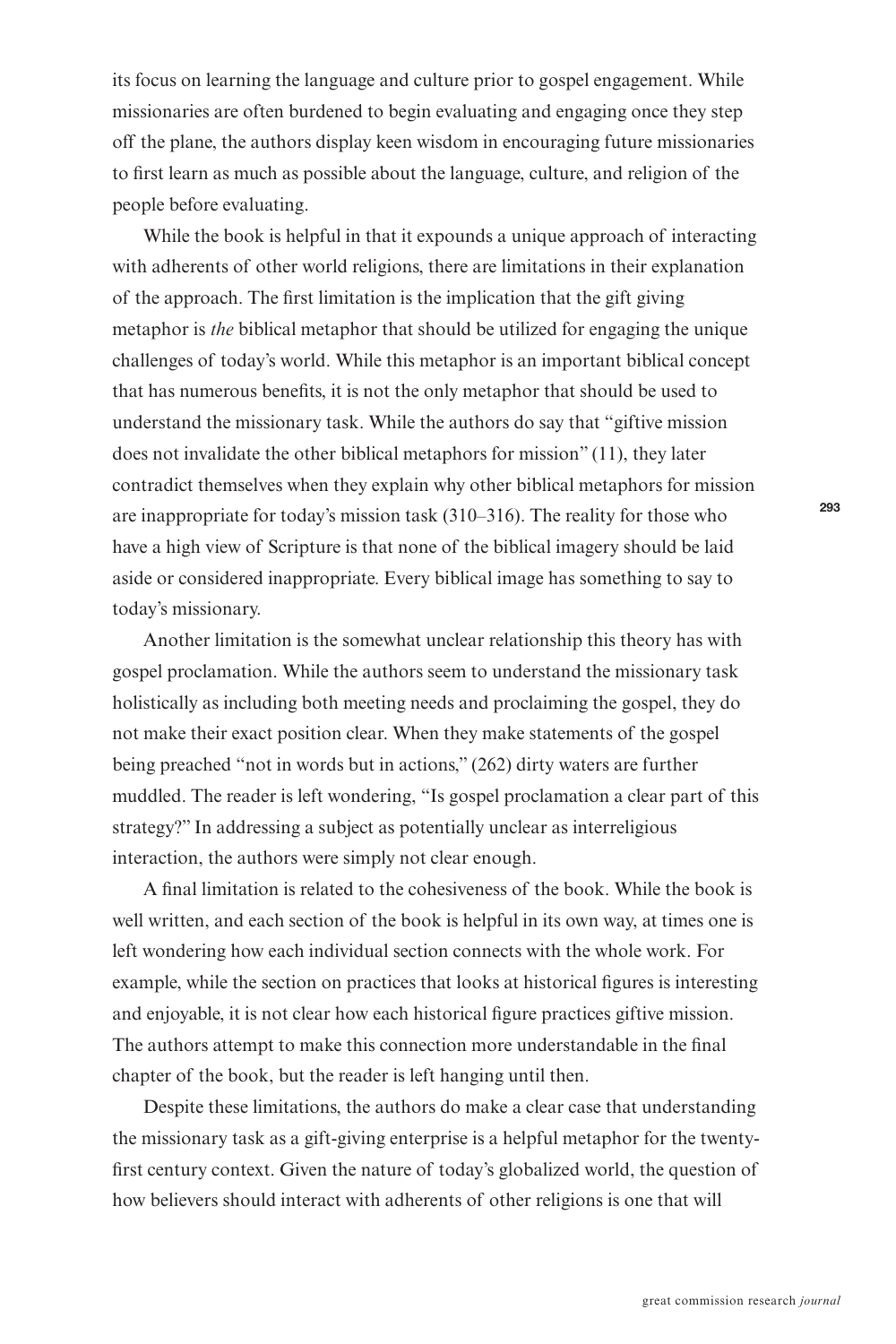its focus on learning the language and culture prior to gospel engagement. While missionaries are often burdened to begin evaluating and engaging once they step off the plane, the authors display keen wisdom in encouraging future missionaries to first learn as much as possible about the language, culture, and religion of the people before evaluating.

While the book is helpful in that it expounds a unique approach of interacting with adherents of other world religions, there are limitations in their explanation of the approach. The first limitation is the implication that the gift giving metaphor is *the* biblical metaphor that should be utilized for engaging the unique challenges of today's world. While this metaphor is an important biblical concept that has numerous benefits, it is not the only metaphor that should be used to understand the missionary task. While the authors do say that "giftive mission does not invalidate the other biblical metaphors for mission" (11), they later contradict themselves when they explain why other biblical metaphors for mission are inappropriate for today's mission task (310–316). The reality for those who have a high view of Scripture is that none of the biblical imagery should be laid aside or considered inappropriate. Every biblical image has something to say to today's missionary.

Another limitation is the somewhat unclear relationship this theory has with gospel proclamation. While the authors seem to understand the missionary task holistically as including both meeting needs and proclaiming the gospel, they do not make their exact position clear. When they make statements of the gospel being preached "not in words but in actions," (262) dirty waters are further muddled. The reader is left wondering, "Is gospel proclamation a clear part of this strategy?" In addressing a subject as potentially unclear as interreligious interaction, the authors were simply not clear enough.

A final limitation is related to the cohesiveness of the book. While the book is well written, and each section of the book is helpful in its own way, at times one is left wondering how each individual section connects with the whole work. For example, while the section on practices that looks at historical figures is interesting and enjoyable, it is not clear how each historical figure practices giftive mission. The authors attempt to make this connection more understandable in the final chapter of the book, but the reader is left hanging until then.

Despite these limitations, the authors do make a clear case that understanding the missionary task as a gift-giving enterprise is a helpful metaphor for the twenty first century context. Given the nature of today's globalized world, the question of how believers should interact with adherents of other religions is one that will